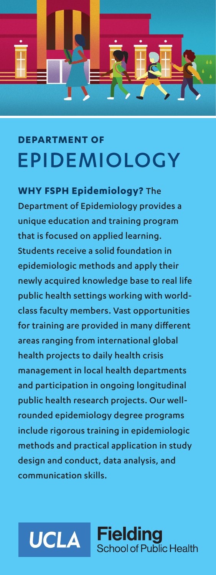

# **DEPARTMENT OF** EPIDEMIOLOGY

**WHY FSPH Epidemiology?** The Department of Epidemiology provides a unique education and training program that is focused on applied learning. Students receive a solid foundation in epidemiologic methods and apply their newly acquired knowledge base to real life public health settings working with worldclass faculty members. Vast opportunities for training are provided in many different areas ranging from international global health projects to daily health crisis management in local health departments and participation in ongoing longitudinal public health research projects. Our wellrounded epidemiology degree programs include rigorous training in epidemiologic methods and practical application in study design and conduct, data analysis, and communication skills.

Fielding

School of Public Health